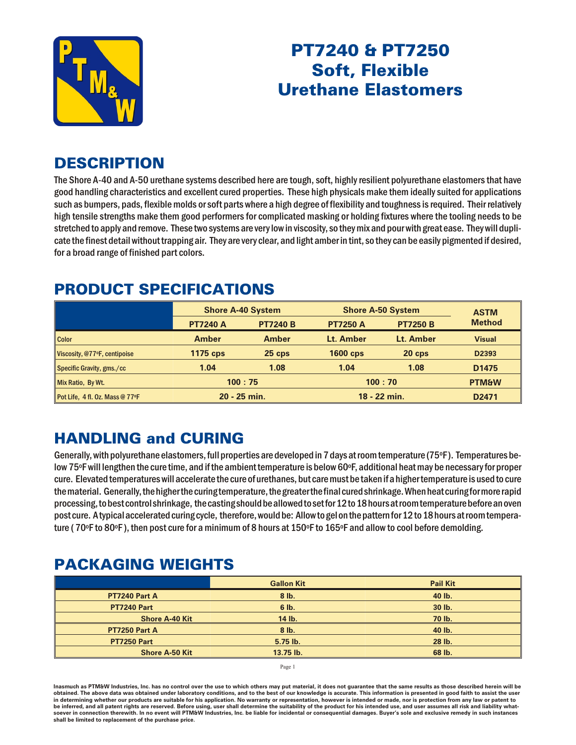

# PT7240 & PT7250 **Soft, Flexible** Urethane Elastomers

#### **DESCRIPTION**

The Shore A-40 and A-50 urethane systems described here are tough, soft, highly resilient polyurethane elastomers that have good handling characteristics and excellent cured properties. These high physicals make them ideally suited for applications such as bumpers, pads, flexible molds or soft parts where a high degree of flexibility and toughness is required. Their relatively high tensile strengths make them good performers for complicated masking or holding fixtures where the tooling needs to be stretched to apply and remove. These two systems are very low in viscosity, so they mix and pour with great ease. They will duplicate the finest detail without trapping air. They are very clear, and light amber in tint, so they can be easily pigmented if desired, for a broad range of finished part colors.

#### **PRODUCT SPECIFICATIONS**

|                                 | <b>Shore A-40 System</b> |                 | <b>Shore A-50 System</b> |                 | <b>ASTM</b>       |
|---------------------------------|--------------------------|-----------------|--------------------------|-----------------|-------------------|
|                                 | <b>PT7240 A</b>          | <b>PT7240 B</b> | <b>PT7250 A</b>          | <b>PT7250 B</b> | <b>Method</b>     |
| <b>Color</b>                    | <b>Amber</b>             | <b>Amber</b>    | Lt. Amber                | Lt. Amber       | <b>Visual</b>     |
| Viscosity, @77ºF, centipoise    | <b>1175 cps</b>          | $25$ cps        | <b>1600 cps</b>          | $20$ cps        | D2393             |
| Specific Gravity, gms./cc       | 1.04                     | 1.08            | 1.04                     | 1.08            | D <sub>1475</sub> |
| Mix Ratio, By Wt.               | 100:75                   |                 | 100:70                   |                 | <b>PTM&amp;W</b>  |
| Pot Life, 4 fl. Oz. Mass @ 77°F | 20 - 25 min.             |                 | 18 - 22 min.             |                 | D <sub>2471</sub> |

## **HANDLING and CURING**

Generally, with polyurethane elastomers, full properties are developed in 7 days at room temperature (75°F). Temperatures below 75°F will lengthen the cure time, and if the ambient temperature is below 60°F, additional heat may be necessary for proper cure. Elevated temperatures will accelerate the cure of urethanes, but care must be taken if a higher temperature is used to cure the material. Generally, the higher the curing temperature, the greater the final cured shrinkage. When heat curing for more rapid processing, to best control shrinkage, the casting should be allowed to set for 12 to 18 hours at room temperature before an oven post cure. A typical accelerated curing cycle, therefore, would be: Allow to gel on the pattern for 12 to 18 hours at room temperature (70°F to 80°F), then post cure for a minimum of 8 hours at 150°F to 165°F and allow to cool before demolding.

## PACK AGING WEIGHTS

|                       | <b>Gallon Kit</b> | <b>Pail Kit</b> |
|-----------------------|-------------------|-----------------|
| PT7240 Part A         | $8$ lb.           | 40 lb.          |
| <b>PT7240 Part</b>    | 6 lb.             | 30 lb.          |
| <b>Shore A-40 Kit</b> | 14 lb.            | 70 lb.          |
| PT7250 Part A         | 8 lb.             | 40 lb.          |
| <b>PT7250 Part</b>    | $5.75$ lb.        | 28 lb.          |
| <b>Shore A-50 Kit</b> | 13.75 lb.         | 68 lb.          |

Page 1

Inasmuch as PTM&W Industries, Inc. has no control over the use to which others may put material, it does not guarantee that the same results as those described herein will be obtained. The above data was obtained under laboratory conditions, and to the best of our knowledge is accurate. This information is presented in good faith to assist the user in determining whether our products are suitable for his application. No warranty or representation, however is intended or made, nor is protection from any law be inferred, and all patent rights are reserved. Before using, user shall determine the suitability of the product for his intended use, and user assumes all risk and liability whatsoever in connection therewith. In no event will PTM&W Industries, Inc. be liable for incidental or consequential damages. Buyer's sole and exclusive remedy in such instances shall be limited to replacement of the purchase price.